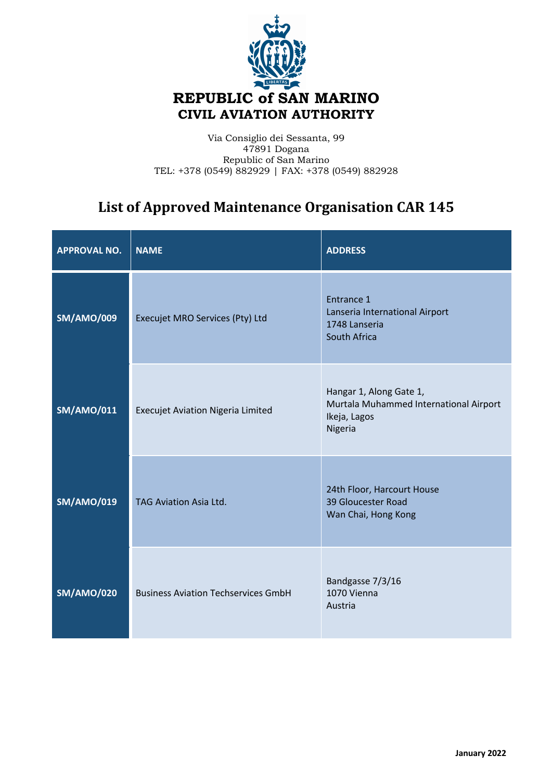

## Via Consiglio dei Sessanta, 99 47891 Dogana Republic of San Marino TEL: +378 (0549) 882929 | FAX: +378 (0549) 882928

## List of Approved Maintenance Organisation CAR 145

| <b>APPROVAL NO.</b> | <b>NAME</b>                                | <b>ADDRESS</b>                                                                               |
|---------------------|--------------------------------------------|----------------------------------------------------------------------------------------------|
| <b>SM/AMO/009</b>   | Execujet MRO Services (Pty) Ltd            | Entrance 1<br>Lanseria International Airport<br>1748 Lanseria<br>South Africa                |
| <b>SM/AMO/011</b>   | <b>Execujet Aviation Nigeria Limited</b>   | Hangar 1, Along Gate 1,<br>Murtala Muhammed International Airport<br>Ikeja, Lagos<br>Nigeria |
| <b>SM/AMO/019</b>   | <b>TAG Aviation Asia Ltd.</b>              | 24th Floor, Harcourt House<br>39 Gloucester Road<br>Wan Chai, Hong Kong                      |
| <b>SM/AMO/020</b>   | <b>Business Aviation Techservices GmbH</b> | Bandgasse 7/3/16<br>1070 Vienna<br>Austria                                                   |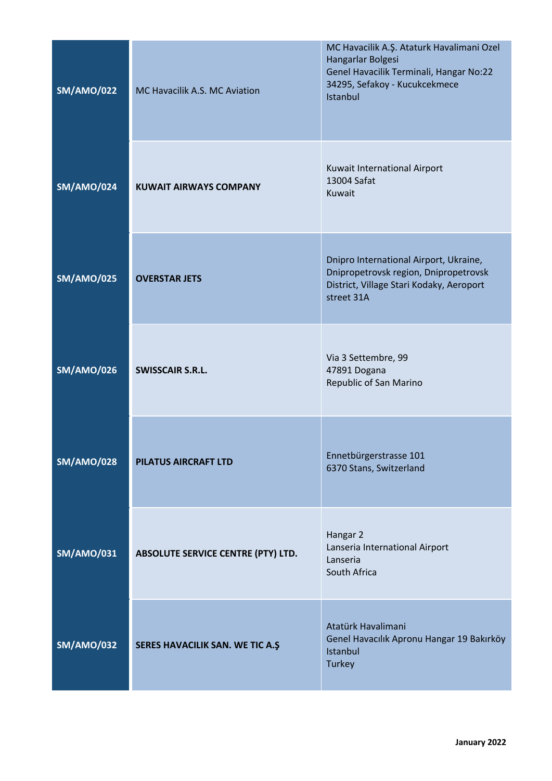| <b>SM/AMO/022</b> | MC Havacilik A.S. MC Aviation             | MC Havacilik A.Ş. Ataturk Havalimani Ozel<br>Hangarlar Bolgesi<br>Genel Havacilik Terminali, Hangar No:22<br>34295, Sefakoy - Kucukcekmece<br>Istanbul |
|-------------------|-------------------------------------------|--------------------------------------------------------------------------------------------------------------------------------------------------------|
| <b>SM/AMO/024</b> | <b>KUWAIT AIRWAYS COMPANY</b>             | Kuwait International Airport<br>13004 Safat<br>Kuwait                                                                                                  |
| <b>SM/AMO/025</b> | <b>OVERSTAR JETS</b>                      | Dnipro International Airport, Ukraine,<br>Dnipropetrovsk region, Dnipropetrovsk<br>District, Village Stari Kodaky, Aeroport<br>street 31A              |
| <b>SM/AMO/026</b> | <b>SWISSCAIR S.R.L.</b>                   | Via 3 Settembre, 99<br>47891 Dogana<br>Republic of San Marino                                                                                          |
| <b>SM/AMO/028</b> | <b>PILATUS AIRCRAFT LTD</b>               | Ennetbürgerstrasse 101<br>6370 Stans, Switzerland                                                                                                      |
| <b>SM/AMO/031</b> | <b>ABSOLUTE SERVICE CENTRE (PTY) LTD.</b> | Hangar 2<br>Lanseria International Airport<br>Lanseria<br>South Africa                                                                                 |
| <b>SM/AMO/032</b> | SERES HAVACILIK SAN. WE TIC A.Ş           | Atatürk Havalimani<br>Genel Havacılık Apronu Hangar 19 Bakırköy<br>Istanbul<br><b>Turkey</b>                                                           |